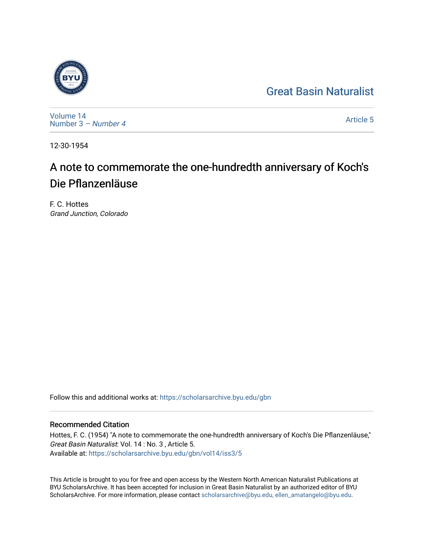## [Great Basin Naturalist](https://scholarsarchive.byu.edu/gbn)



[Volume 14](https://scholarsarchive.byu.edu/gbn/vol14) [Number 3](https://scholarsarchive.byu.edu/gbn/vol14/iss3) – Number 4

[Article 5](https://scholarsarchive.byu.edu/gbn/vol14/iss3/5) 

12-30-1954

# A note to commemorate the one-hundredth anniversary of Koch's Die Pflanzenläuse

F. C. Hottes Grand Junction, Colorado

Follow this and additional works at: [https://scholarsarchive.byu.edu/gbn](https://scholarsarchive.byu.edu/gbn?utm_source=scholarsarchive.byu.edu%2Fgbn%2Fvol14%2Fiss3%2F5&utm_medium=PDF&utm_campaign=PDFCoverPages) 

### Recommended Citation

Hottes, F. C. (1954) "A note to commemorate the one-hundredth anniversary of Koch's Die Pflanzenläuse," Great Basin Naturalist: Vol. 14 : No. 3 , Article 5. Available at: [https://scholarsarchive.byu.edu/gbn/vol14/iss3/5](https://scholarsarchive.byu.edu/gbn/vol14/iss3/5?utm_source=scholarsarchive.byu.edu%2Fgbn%2Fvol14%2Fiss3%2F5&utm_medium=PDF&utm_campaign=PDFCoverPages)

This Article is brought to you for free and open access by the Western North American Naturalist Publications at BYU ScholarsArchive. It has been accepted for inclusion in Great Basin Naturalist by an authorized editor of BYU ScholarsArchive. For more information, please contact [scholarsarchive@byu.edu, ellen\\_amatangelo@byu.edu.](mailto:scholarsarchive@byu.edu,%20ellen_amatangelo@byu.edu)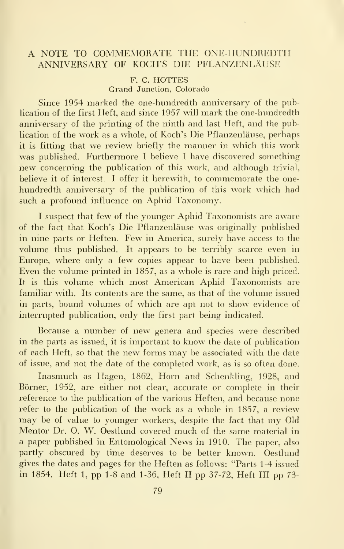#### A NOTE TO COMMEMORATE THE ONE-HUNDREDTH ANNIVERSARY OF KOCH'S DIE PFLANZENLAUSE

#### F. C. HOTTES Grand Junction, Colorado

Since 1954 marked the one-hundredth anniversary of the publication of the first Heft, and since 1957 will mark the one-hundredth anniversary of the printing of the ninth and last Heft, and the publication of the work as a whole, of Koch's Die Pflanzenläuse, perhaps it is fitting that we review briefly the manner in which this work was published. Furthermore I believe I have discovered something new concerning the publication of this work, and although trivial, believe it of interest. I offer it herewith, to commemorate the onehundredth anniversary of the publication of this work which had such a profound influence on Aphid Taxonomy.

<sup>I</sup> suspect that few of the younger Aphid Taxonomists are aware of the fact that Koch's Die Pflanzenlause was originally published in nine parts or Heften. Few in America, surely have access to the volume thus published. It appears to be terribly scarce even in Europe, where only a few copies appear to have been published. Even the volume printed in 1857, as a whole is rare and high priced. It is this volume which most American Aphid Taxonomists are familiar with. Its contents are the same, as that of the volume issued in parts, bound volumes of which are apt not to show evidence of interrupted publication, only the first part being indicated.

Because a number of new genera and species were described in the parts as issued, it is important to know the date of publication of each Heft, so that the new forms may be associated with the date of issue, and not the date of the completed work, as is so often done.

Inasmuch as Hagen, 1862, Horn and Schenkling, 1928, and Borner, 1952, are either not clear, accurate or complete in their reference to the publication of the various Heften, and because none refer to the publication of the work as a whole in 1857, a review may be of value to younger workers, despite the fact that my Old Mentor Dr. O. W. Oestlund covered much of the same material in a paper published in Entomological News in 1910. The paper, also partly obscured by time deserves to be better known. Oestlund gives the dates and pages for the Heften as follows: "Parts 1-4 issued in 1854. Heft 1, pp 1-8 and 1-36, Heft II pp 37-72, Heft III pp 73-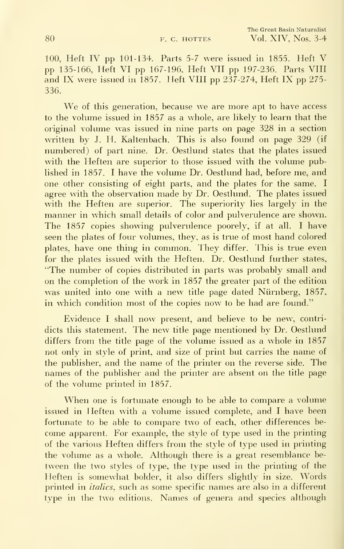100, Heft IV pp 101-134. Parts 5-7 were issued in 1855. Heft V pp 135-166, Heft VI pp 167-196, Heft VII pp 197-236. Parts VIII and IX were issued in 1857. Heft VIII pp 237-274, Heft IX pp 275- 336.

We of this generation, because we are more apt to have access to the volume issued in 1857 as a whole, are likely to learn that the original volume was issued in nine parts on page 328 in a section written by J. H. Kaltenbach. This is also found on page 329 (if numbered) of part nine. Dr. Oestlund states that the plates issued with the Heften are superior to those issued with the volume published in 1857. <sup>I</sup> have the volume Dr. Oestlund had, before me, and one other consisting of eight parts, and the plates for the same. <sup>I</sup> agree with the observation made by Dr. Oestlund. The plates issued with the Heften are superior. The superiority lies largely in the manner in which small details of color and pulverulence are shown. The 1857 copies showing pulverulence poorely, if at all. <sup>I</sup> have seen the plates of four volumes, they, as is true of most hand colored plates, have one thing in common. They differ. This is true even for the plates issued with the Heften. Dr. Oestlund further states, "The number of copies distributed in parts was probably small and on the completion of the work in 1857 the greater part of the edition was united into one with a new title page dated Nürnberg, 1857, in which condition most of the copies now to be had are found."

Evidence <sup>I</sup> shall now present, and believe to be new, contridicts this statement. The new title page mentioned by Dr. Oestlund differs from the title page of the volume issued as a whole in 1857 not only in style of print, and size of print but carries the name of the publisher, and the name of the printer on the reverse side. The names of the publisher and the printer are absent on the title page of the volume printed in 1857.

When one is fortunate enough to be able to compare <sup>a</sup> volume issued in Heften with a volume issued complete, and I have been fortunate to be able to compare two of each, other differences be come apparent. For example, the style of type used in the printing of the various Heften differs from the style of type used in printing the volume as a whole. Although there is a great resemblance be tween the two styles of type, the type used in the printing of the Heften is somewhat bolder, it also differs slightly in size. Words printed in italics, such as some specific names are also in a different type in the two editions. Names of genera and species although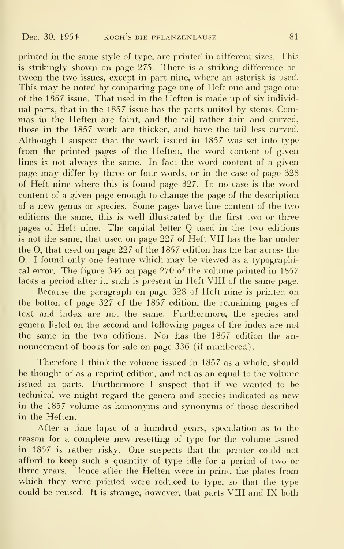printed in the same style of type, are printed in different sizes. This is strikingly shown on page 275. There is a striking difference be tween the two issues, except in part nine, where an asterisk is used. This may be noted by comparing page one of Heft one and page one of the 1857 issue. That used in the Ileften is made up of six individual parts, that in the 1857 issue has the parts united by stems. Com mas in the Heften are faint, and the tail rather thin and curved, those in the 1857 work are thicker, and have the tail less curved. Although I suspect that the work issued in  $1857$  was set into type from the printed pages of the Heften, the word content of given lines is not always the same. In fact the word content of a given page may differ by three or four words, or in the case of page 328 of Heft nine where this is found page 327. In no case is the word content of a given page enough to change the page of the description of a new genus or species. Some pages have line content of the two editions the same, this is well illustrated by the first two or three pages of Heft nine. The capital letter Q used in the two editions is not the same, that used on page 227 of Heft VII has the bar under the O, that used on page 227 of the 1857 edition has the bar across the 0. <sup>I</sup> found only one feature which may be viewed as <sup>a</sup> typographical error. The figure 345 on page 270 of the volume printed in 1857 lacks a period after it, such is present in Heft VIII of the same page.

Because the paragraph on page 328 of Heft nine is printed on the botton of page  $327$  of the 1857 edition, the remaining pages of text and index are not the same. Furthennore, the species and genera listed on the second and following pages of the index are not the same in the two editions. Nor has the 1857 edition the an nouncement of books for sale on page 336 (if numbered).

Therefore <sup>I</sup> think the volume issued in 1857 as a whole, should be thought of as a reprint edition, and not as an equal to the volume issued in parts. Furthermore <sup>I</sup> suspect that if we wanted to be technical we might regard the genera and species indicated as new in the 1857 volume as homonyms and synonyms of those described in the Heften.

After a time lapse of a hundred years, speculation as to the reason for <sup>a</sup> complete new resetting of type for the volume issued in 1857 is rather risky. One suspects that the printer could not afford to keep such a quantity of type idle for a period of two or three years. Hence after the Heften were in print, the plates from which they were printed were reduced to type, so that the type could be reused. It is strange, however, that parts VIII and IX both